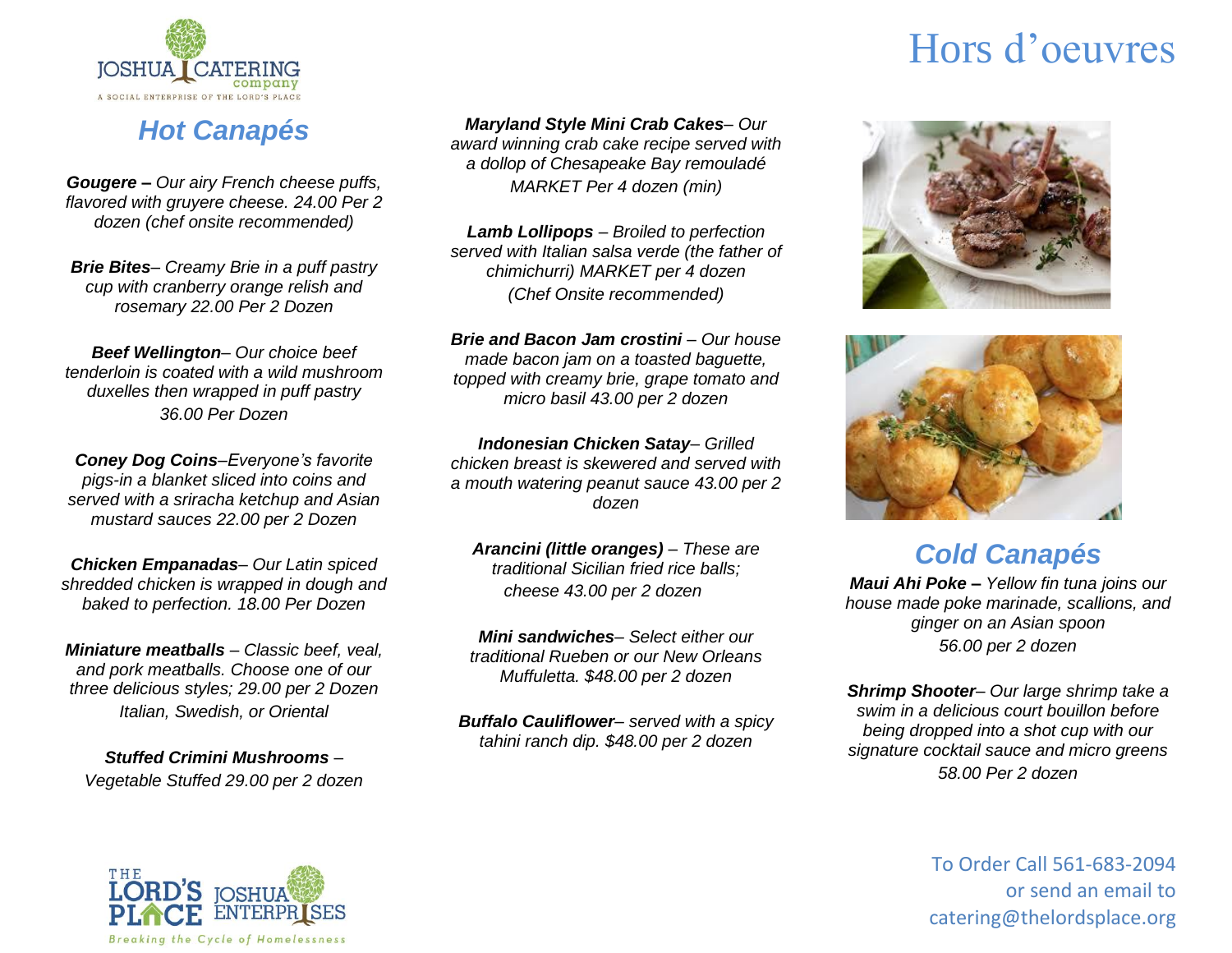

### *Hot Canapés*

*Gougere – Our airy French cheese puffs, flavored with gruyere cheese. 24.00 Per 2 dozen (chef onsite recommended)*

*Brie Bites– Creamy Brie in a puff pastry cup with cranberry orange relish and rosemary 22.00 Per 2 Dozen*

*Beef Wellington– Our choice beef tenderloin is coated with a wild mushroom duxelles then wrapped in puff pastry 36.00 Per Dozen*

*Coney Dog Coins–Everyone's favorite pigs-in a blanket sliced into coins and served with a sriracha ketchup and Asian mustard sauces 22.00 per 2 Dozen*

*Chicken Empanadas– Our Latin spiced shredded chicken is wrapped in dough and baked to perfection. 18.00 Per Dozen*

*Miniature meatballs – Classic beef, veal, and pork meatballs. Choose one of our three delicious styles; 29.00 per 2 Dozen Italian, Swedish, or Oriental*

*Stuffed Crimini Mushrooms – Vegetable Stuffed 29.00 per 2 dozen* *Maryland Style Mini Crab Cakes– Our* 

*award winning crab cake recipe served with a dollop of Chesapeake Bay remouladé MARKET Per 4 dozen (min)*

*Lamb Lollipops – Broiled to perfection served with Italian salsa verde (the father of chimichurri) MARKET per 4 dozen (Chef Onsite recommended)*

*Brie and Bacon Jam crostini – Our house made bacon jam on a toasted baguette, topped with creamy brie, grape tomato and micro basil 43.00 per 2 dozen*

*Indonesian Chicken Satay– Grilled chicken breast is skewered and served with a mouth watering peanut sauce 43.00 per 2 dozen*

*Arancini (little oranges) – These are traditional Sicilian fried rice balls; cheese 43.00 per 2 dozen*

*Mini sandwiches– Select either our traditional Rueben or our New Orleans Muffuletta. \$48.00 per 2 dozen*

*Buffalo Cauliflower– served with a spicy tahini ranch dip. \$48.00 per 2 dozen*

# Hors d'oeuvres





*Cold Canapés*

*Maui Ahi Poke – Yellow fin tuna joins our house made poke marinade, scallions, and ginger on an Asian spoon 56.00 per 2 dozen*

*Shrimp Shooter– Our large shrimp take a swim in a delicious court bouillon before being dropped into a shot cup with our signature cocktail sauce and micro greens 58.00 Per 2 dozen*

> To Order Call 561-683-2094 or send an email to catering@thelordsplace.org

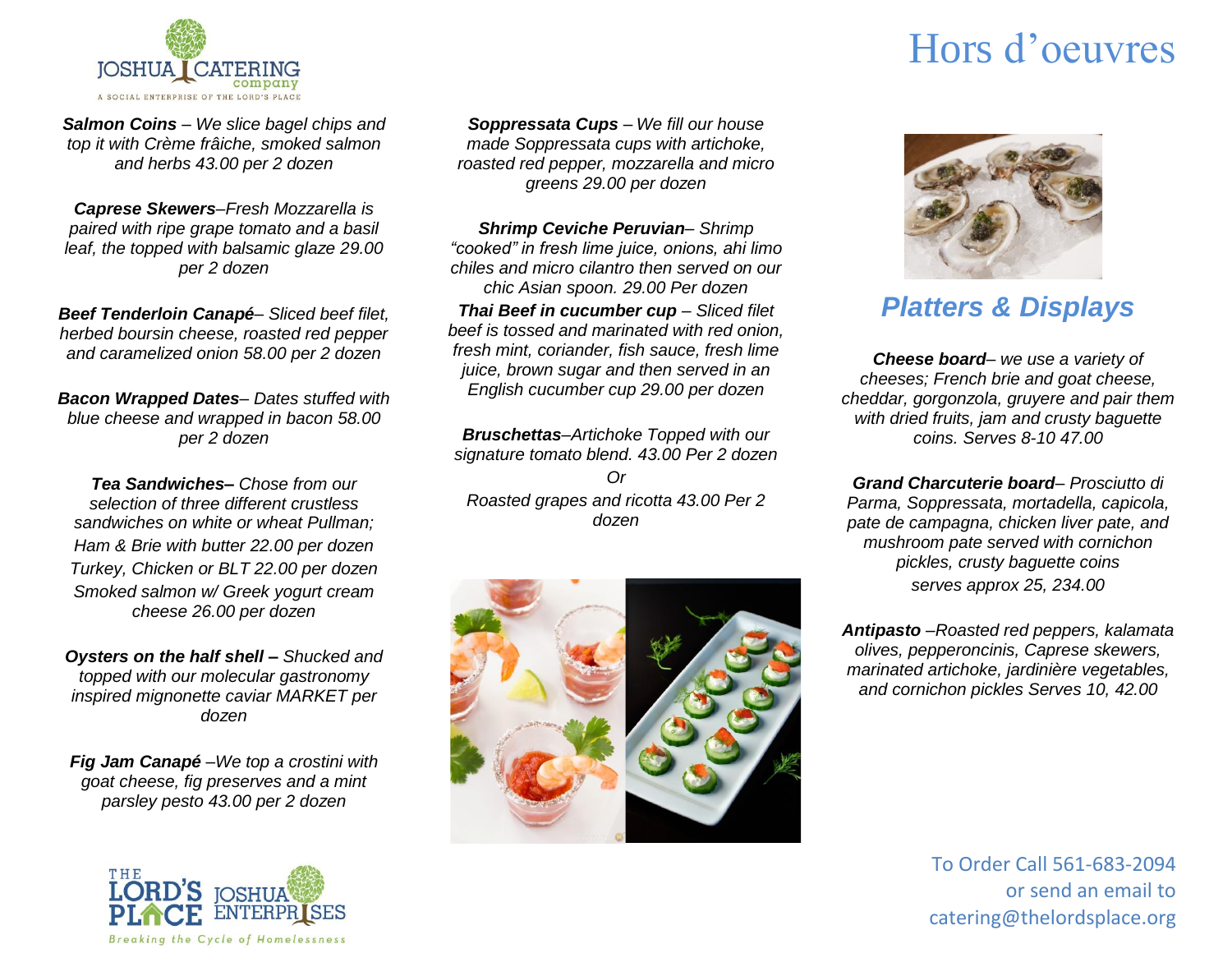

*Salmon Coins – We slice bagel chips and top it with Crème frâiche, smoked salmon and herbs 43.00 per 2 dozen*

*Caprese Skewers–Fresh Mozzarella is paired with ripe grape tomato and a basil leaf, the topped with balsamic glaze 29.00 per 2 dozen*

*Beef Tenderloin Canapé– Sliced beef filet, herbed boursin cheese, roasted red pepper and caramelized onion 58.00 per 2 dozen*

*Bacon Wrapped Dates– Dates stuffed with blue cheese and wrapped in bacon 58.00 per 2 dozen*

*Tea Sandwiches– Chose from our selection of three different crustless sandwiches on white or wheat Pullman; Ham & Brie with butter 22.00 per dozen Turkey, Chicken or BLT 22.00 per dozen Smoked salmon w/ Greek yogurt cream cheese 26.00 per dozen*

*Oysters on the half shell – Shucked and topped with our molecular gastronomy inspired mignonette caviar MARKET per dozen*

*Fig Jam Canapé –We top a crostini with goat cheese, fig preserves and a mint parsley pesto 43.00 per 2 dozen*



*Soppressata Cups – We fill our house made Soppressata cups with artichoke, roasted red pepper, mozzarella and micro greens 29.00 per dozen*

*Shrimp Ceviche Peruvian– Shrimp "cooked" in fresh lime juice, onions, ahi limo chiles and micro cilantro then served on our chic Asian spoon. 29.00 Per dozen Thai Beef in cucumber cup – Sliced filet beef is tossed and marinated with red onion, fresh mint, coriander, fish sauce, fresh lime juice, brown sugar and then served in an English cucumber cup 29.00 per dozen*

*Bruschettas–Artichoke Topped with our signature tomato blend. 43.00 Per 2 dozen Or Roasted grapes and ricotta 43.00 Per 2 dozen*



## Hors d'oeuvres



#### *Platters & Displays*

*Cheese board– we use a variety of cheeses; French brie and goat cheese, cheddar, gorgonzola, gruyere and pair them with dried fruits, jam and crusty baguette coins. Serves 8-10 47.00*

*Grand Charcuterie board– Prosciutto di Parma, Soppressata, mortadella, capicola, pate de campagna, chicken liver pate, and mushroom pate served with cornichon pickles, crusty baguette coins serves approx 25, 234.00*

*Antipasto –Roasted red peppers, kalamata olives, pepperoncinis, Caprese skewers, marinated artichoke, jardinière vegetables, and cornichon pickles Serves 10, 42.00*

> To Order Call 561-683-2094 or send an email to catering@thelordsplace.org